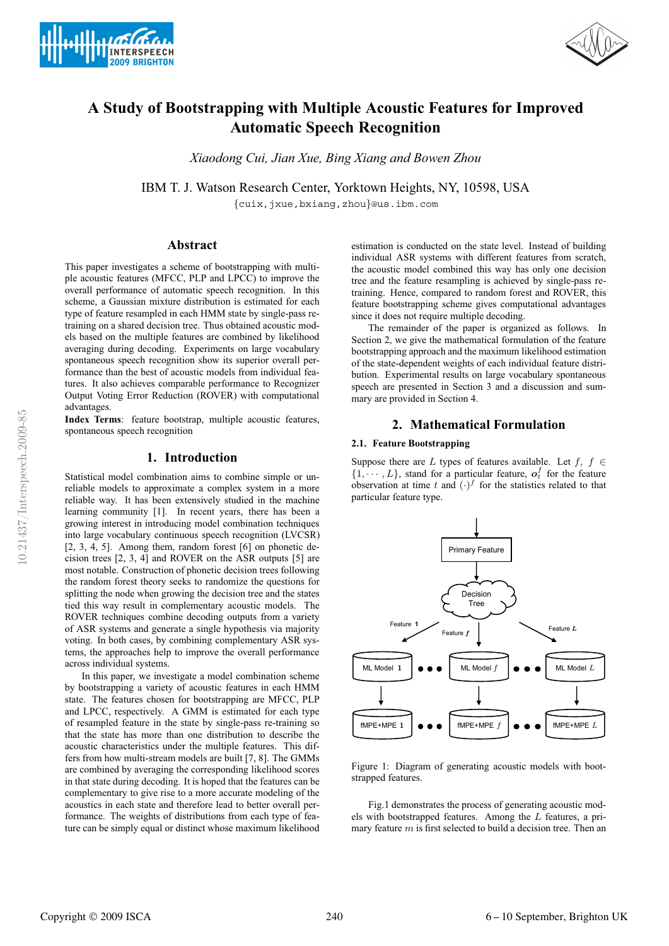



# **A Study of Bootstrapping with Multiple Acoustic Features for Improved Automatic Speech Recognition**

*Xiaodong Cui, Jian Xue, Bing Xiang and Bowen Zhou*

IBM T. J. Watson Research Center, Yorktown Heights, NY, 10598, USA

{cuix,jxue,bxiang,zhou}@us.ibm.com

# **Abstract**

This paper investigates a scheme of bootstrapping with multiple acoustic features (MFCC, PLP and LPCC) to improve the overall performance of automatic speech recognition. In this scheme, a Gaussian mixture distribution is estimated for each type of feature resampled in each HMM state by single-pass retraining on a shared decision tree. Thus obtained acoustic models based on the multiple features are combined by likelihood averaging during decoding. Experiments on large vocabulary spontaneous speech recognition show its superior overall performance than the best of acoustic models from individual features. It also achieves comparable performance to Recognizer Output Voting Error Reduction (ROVER) with computational advantages.

**Index Terms**: feature bootstrap, multiple acoustic features, spontaneous speech recognition

# **1. Introduction**

Statistical model combination aims to combine simple or unreliable models to approximate a complex system in a more reliable way. It has been extensively studied in the machine learning community [1]. In recent years, there has been a growing interest in introducing model combination techniques into large vocabulary continuous speech recognition (LVCSR) [2, 3, 4, 5]. Among them, random forest [6] on phonetic decision trees [2, 3, 4] and ROVER on the ASR outputs [5] are most notable. Construction of phonetic decision trees following the random forest theory seeks to randomize the questions for splitting the node when growing the decision tree and the states tied this way result in complementary acoustic models. The ROVER techniques combine decoding outputs from a variety of ASR systems and generate a single hypothesis via majority voting. In both cases, by combining complementary ASR systems, the approaches help to improve the overall performance across individual systems.

In this paper, we investigate a model combination scheme by bootstrapping a variety of acoustic features in each HMM state. The features chosen for bootstrapping are MFCC, PLP and LPCC, respectively. A GMM is estimated for each type of resampled feature in the state by single-pass re-training so that the state has more than one distribution to describe the acoustic characteristics under the multiple features. This differs from how multi-stream models are built [7, 8]. The GMMs are combined by averaging the corresponding likelihood scores in that state during decoding. It is hoped that the features can be complementary to give rise to a more accurate modeling of the acoustics in each state and therefore lead to better overall performance. The weights of distributions from each type of feature can be simply equal or distinct whose maximum likelihood

estimation is conducted on the state level. Instead of building individual ASR systems with different features from scratch, the acoustic model combined this way has only one decision tree and the feature resampling is achieved by single-pass retraining. Hence, compared to random forest and ROVER, this feature bootstrapping scheme gives computational advantages since it does not require multiple decoding.

The remainder of the paper is organized as follows. In Section 2, we give the mathematical formulation of the feature bootstrapping approach and the maximum likelihood estimation of the state-dependent weights of each individual feature distribution. Experimental results on large vocabulary spontaneous speech are presented in Section 3 and a discussion and summary are provided in Section 4.

# **2. Mathematical Formulation**

#### **2.1. Feature Bootstrapping**

Suppose there are L types of features available. Let f,  $f \in$  $\{1, \dots, L\}$ , stand for a particular feature,  $o_t^f$  for the feature observation at time t and  $(\cdot)^f$  for the statistics related to that particular feature type.



Figure 1: Diagram of generating acoustic models with bootstrapped features.

Fig.1 demonstrates the process of generating acoustic models with bootstrapped features. Among the L features, a primary feature  $m$  is first selected to build a decision tree. Then an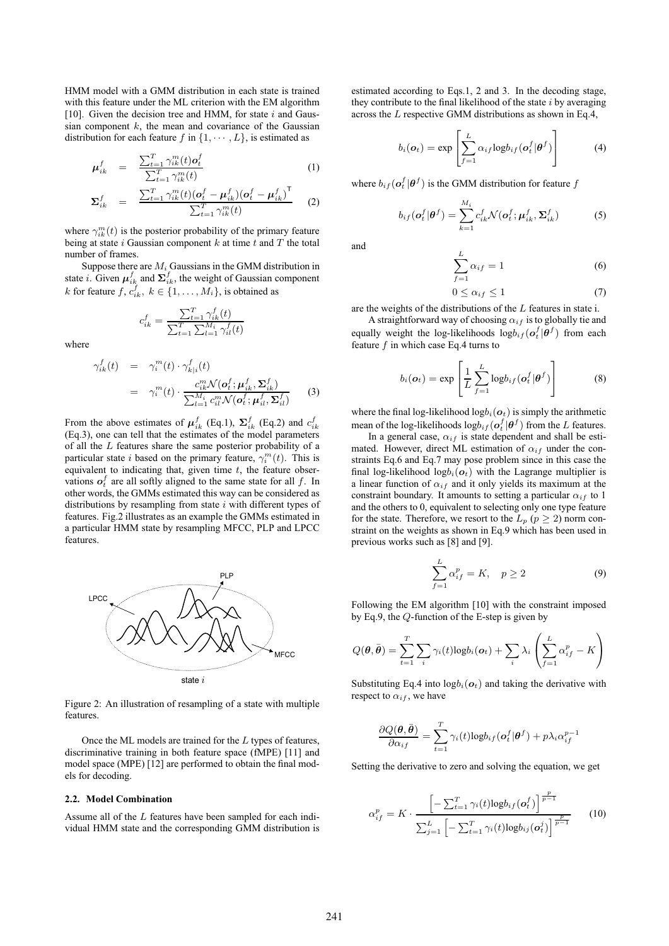HMM model with a GMM distribution in each state is trained with this feature under the ML criterion with the EM algorithm [10]. Given the decision tree and HMM, for state  $i$  and Gaussian component  $k$ , the mean and covariance of the Gaussian distribution for each feature f in  $\{1, \cdots, L\}$ , is estimated as

$$
\mu_{ik}^f = \frac{\sum_{t=1}^T \gamma_{ik}^m(t) o_t^f}{\sum_{t=1}^T \gamma_{ik}^m(t)}
$$
(1)

$$
\Sigma_{ik}^{f} = \frac{\sum_{t=1}^{T} \gamma_{ik}^{m}(t) (\mathbf{o}_{t}^{f} - \mathbf{\mu}_{ik}^{f})(\mathbf{o}_{t}^{f} - \mathbf{\mu}_{ik}^{f})^{\mathsf{T}}}{\sum_{t=1}^{T} \gamma_{ik}^{m}(t)}
$$
(2)

where  $\gamma_{ik}^{m}(t)$  is the posterior probability of the primary feature being at state i Gaussian component  $k$  at time  $t$  and  $T$  the total number of frames.

Suppose there are  $M_i$  Gaussians in the GMM distribution in state *i*. Given  $\mu_{ik}^f$  and  $\Sigma_{ik}^f$ , the weight of Gaussian component k for feature  $f, c_{ik}^f, k \in \{1, ..., M_i\}$ , is obtained as

$$
c_{ik}^f = \frac{\sum_{t=1}^T \gamma_{ik}^f(t)}{\sum_{t=1}^T \sum_{l=1}^{M_i} \gamma_{il}^f(t)}
$$

where

$$
\gamma_{ik}^f(t) = \gamma_i^m(t) \cdot \gamma_{k|i}^f(t)
$$
\n
$$
= \gamma_i^m(t) \cdot \frac{c_{ik}^m \mathcal{N}(\mathbf{o}_t^f; \mathbf{\mu}_{ik}^f, \mathbf{\Sigma}_{ik}^f)}{\sum_{l=1}^{M_i} c_{il}^m \mathcal{N}(\mathbf{o}_t^f; \mathbf{\mu}_{il}^f, \mathbf{\Sigma}_{il}^f)}
$$
\n(3)

From the above estimates of  $\mu_{ik}^f$  (Eq.1),  $\Sigma_{ik}^f$  (Eq.2) and  $c_{ik}^f$ (Eq.3), one can tell that the estimates of the model parameters of all the L features share the same posterior probability of a particular state *i* based on the primary feature,  $\gamma_i^m(t)$ . This is equivalent to indicating that, given time  $t$ , the feature observations  $o_t^f$  are all softly aligned to the same state for all f. In other words, the GMMs estimated this way can be considered as distributions by resampling from state  $i$  with different types of features. Fig.2 illustrates as an example the GMMs estimated in a particular HMM state by resampling MFCC, PLP and LPCC features.



Figure 2: An illustration of resampling of a state with multiple features.

Once the ML models are trained for the L types of features, discriminative training in both feature space (fMPE) [11] and model space (MPE) [12] are performed to obtain the final models for decoding.

# **2.2. Model Combination**

Assume all of the L features have been sampled for each individual HMM state and the corresponding GMM distribution is estimated according to Eqs.1, 2 and 3. In the decoding stage, they contribute to the final likelihood of the state  $i$  by averaging across the L respective GMM distributions as shown in Eq.4,

$$
b_i(\boldsymbol{o}_t) = \exp\left[\sum_{f=1}^L \alpha_{if} \log b_{if}(\boldsymbol{o}_t^f | \boldsymbol{\theta}^f)\right]
$$
(4)

where  $b_{if} (o_i^f | \theta^f)$  is the GMM distribution for feature  $f$ 

$$
b_{if}(\boldsymbol{o}_{t}^{f}|\boldsymbol{\theta}^{f}) = \sum_{k=1}^{M_{i}} c_{ik}^{f} \mathcal{N}(\boldsymbol{o}_{t}^{f}; \boldsymbol{\mu}_{ik}^{f}, \boldsymbol{\Sigma}_{ik}^{f})
$$
(5)

and

$$
\sum_{f=1}^{L} \alpha_{if} = 1 \tag{6}
$$

$$
0 \le \alpha_{if} \le 1 \tag{7}
$$

are the weights of the distributions of the L features in state i.

A straightforward way of choosing  $\alpha_{if}$  is to globally tie and equally weight the log-likelihoods  $log b_{if} (o_i^f | \theta^f)$  from each feature  $f$  in which case Eq.4 turns to

$$
b_i(\boldsymbol{o}_t) = \exp\left[\frac{1}{L} \sum_{f=1}^{L} \log b_{if}(\boldsymbol{o}_t^f | \boldsymbol{\theta}^f)\right]
$$
(8)

where the final log-likelihood  $logb_i(\boldsymbol{o}_t)$  is simply the arithmetic mean of the log-likelihoods  $log b_{if} (o_t^f | \theta^f)$  from the L features.

In a general case,  $\alpha_{if}$  is state dependent and shall be estimated. However, direct ML estimation of  $\alpha_{if}$  under the constraints Eq.6 and Eq.7 may pose problem since in this case the final log-likelihood log $b_i$ ( $o_t$ ) with the Lagrange multiplier is a linear function of  $\alpha_{if}$  and it only yields its maximum at the constraint boundary. It amounts to setting a particular  $\alpha_{if}$  to 1 and the others to 0, equivalent to selecting only one type feature for the state. Therefore, we resort to the  $L_p$  ( $p \geq 2$ ) norm constraint on the weights as shown in Eq.9 which has been used in previous works such as [8] and [9].

$$
\sum_{f=1}^{L} \alpha_{if}^p = K, \quad p \ge 2
$$
\n(9)

Following the EM algorithm [10] with the constraint imposed by Eq.9, the Q-function of the E-step is given by

$$
Q(\boldsymbol{\theta},\bar{\boldsymbol{\theta}})=\sum_{t=1}^{T}\sum_{i}\gamma_i(t)\text{log}b_i(\boldsymbol{\sigma}_t)+\sum_{i}\lambda_i\left(\sum_{f=1}^{L}\alpha_{if}^p-K\right)
$$

Substituting Eq.4 into  $logb_i(\boldsymbol{o}_t)$  and taking the derivative with respect to  $\alpha_{if}$ , we have

$$
\frac{\partial Q(\boldsymbol{\theta},\bar{\boldsymbol{\theta}})}{\partial \alpha_{if}} = \sum_{t=1}^{T} \gamma_i(t) \log b_{if}(\boldsymbol{\theta}_t^f | \boldsymbol{\theta}^f) + p \lambda_i \alpha_{if}^{p-1}
$$

Setting the derivative to zero and solving the equation, we get

$$
\alpha_{if}^{p} = K \cdot \frac{\left[ -\sum_{t=1}^{T} \gamma_{i}(t) \log b_{if}(\mathbf{o}_{t}^{f}) \right]^{\frac{p}{p-1}}}{\sum_{j=1}^{L} \left[ -\sum_{t=1}^{T} \gamma_{i}(t) \log b_{ij}(\mathbf{o}_{t}^{j}) \right]^{\frac{p}{p-1}}} \qquad (10)
$$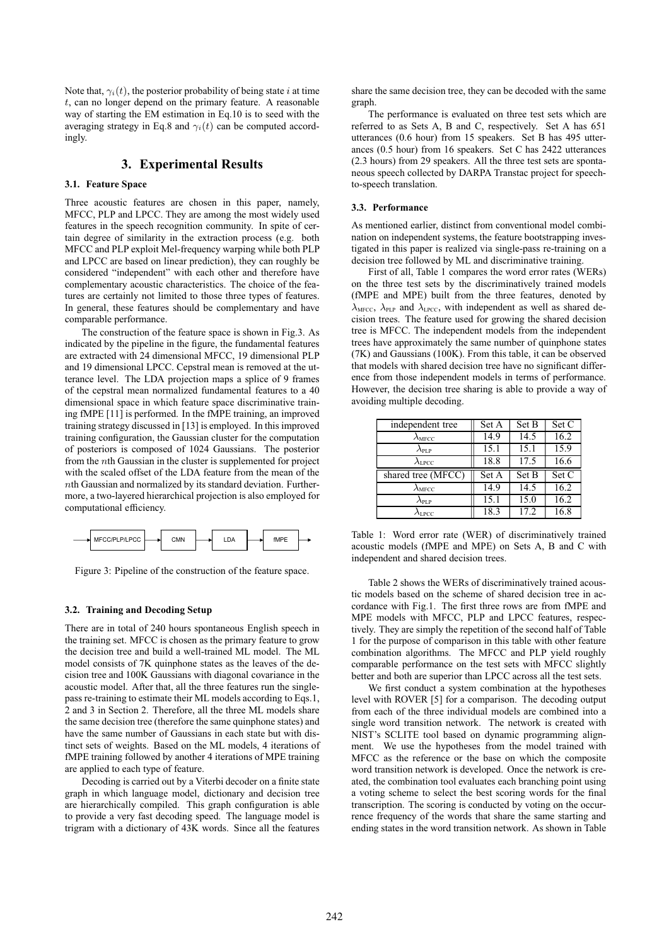Note that,  $\gamma_i(t)$ , the posterior probability of being state i at time t, can no longer depend on the primary feature. A reasonable way of starting the EM estimation in Eq.10 is to seed with the averaging strategy in Eq.8 and  $\gamma_i(t)$  can be computed accordingly.

# **3. Experimental Results**

#### **3.1. Feature Space**

Three acoustic features are chosen in this paper, namely, MFCC, PLP and LPCC. They are among the most widely used features in the speech recognition community. In spite of certain degree of similarity in the extraction process (e.g. both MFCC and PLP exploit Mel-frequency warping while both PLP and LPCC are based on linear prediction), they can roughly be considered "independent" with each other and therefore have complementary acoustic characteristics. The choice of the features are certainly not limited to those three types of features. In general, these features should be complementary and have comparable performance.

The construction of the feature space is shown in Fig.3. As indicated by the pipeline in the figure, the fundamental features are extracted with 24 dimensional MFCC, 19 dimensional PLP and 19 dimensional LPCC. Cepstral mean is removed at the utterance level. The LDA projection maps a splice of 9 frames of the cepstral mean normalized fundamental features to a 40 dimensional space in which feature space discriminative training fMPE [11] is performed. In the fMPE training, an improved training strategy discussed in [13] is employed. In this improved training configuration, the Gaussian cluster for the computation of posteriors is composed of 1024 Gaussians. The posterior from the nth Gaussian in the cluster is supplemented for project with the scaled offset of the LDA feature from the mean of the  $n$ th Gaussian and normalized by its standard deviation. Furthermore, a two-layered hierarchical projection is also employed for computational efficiency.



Figure 3: Pipeline of the construction of the feature space.

#### **3.2. Training and Decoding Setup**

There are in total of 240 hours spontaneous English speech in the training set. MFCC is chosen as the primary feature to grow the decision tree and build a well-trained ML model. The ML model consists of 7K quinphone states as the leaves of the decision tree and 100K Gaussians with diagonal covariance in the acoustic model. After that, all the three features run the singlepass re-training to estimate their ML models according to Eqs.1, 2 and 3 in Section 2. Therefore, all the three ML models share the same decision tree (therefore the same quinphone states) and have the same number of Gaussians in each state but with distinct sets of weights. Based on the ML models, 4 iterations of fMPE training followed by another 4 iterations of MPE training are applied to each type of feature.

Decoding is carried out by a Viterbi decoder on a finite state graph in which language model, dictionary and decision tree are hierarchically compiled. This graph configuration is able to provide a very fast decoding speed. The language model is trigram with a dictionary of 43K words. Since all the features share the same decision tree, they can be decoded with the same graph.

The performance is evaluated on three test sets which are referred to as Sets A, B and C, respectively. Set A has 651 utterances (0.6 hour) from 15 speakers. Set B has 495 utterances (0.5 hour) from 16 speakers. Set C has 2422 utterances (2.3 hours) from 29 speakers. All the three test sets are spontaneous speech collected by DARPA Transtac project for speechto-speech translation.

#### **3.3. Performance**

As mentioned earlier, distinct from conventional model combination on independent systems, the feature bootstrapping investigated in this paper is realized via single-pass re-training on a decision tree followed by ML and discriminative training.

First of all, Table 1 compares the word error rates (WERs) on the three test sets by the discriminatively trained models (fMPE and MPE) built from the three features, denoted by  $\lambda_{\text{MFCC}}$ ,  $\lambda_{\text{PLP}}$  and  $\lambda_{\text{LPCC}}$ , with independent as well as shared decision trees. The feature used for growing the shared decision tree is MFCC. The independent models from the independent trees have approximately the same number of quinphone states (7K) and Gaussians (100K). From this table, it can be observed that models with shared decision tree have no significant difference from those independent models in terms of performance. However, the decision tree sharing is able to provide a way of avoiding multiple decoding.

| independent tree        | Set A | Set B | Set C |
|-------------------------|-------|-------|-------|
| $\lambda_{\rm{MFCC}}$   | 14.9  | 14.5  | 16.2  |
| $\lambda_{\text{PI-P}}$ | 15.1  | 15.1  | 15.9  |
| $\lambda_{\rm LPCC}$    | 18.8  | 17.5  | 16.6  |
| shared tree (MFCC)      | Set A | Set B | Set C |
|                         |       |       |       |
| $\lambda_{\rm MFCC}$    | 14.9  | 14.5  | 16.2  |
| $\lambda_{\text{PLP}}$  | 15.1  | 15.0  | 16.2  |

Table 1: Word error rate (WER) of discriminatively trained acoustic models (fMPE and MPE) on Sets A, B and C with independent and shared decision trees.

Table 2 shows the WERs of discriminatively trained acoustic models based on the scheme of shared decision tree in accordance with Fig.1. The first three rows are from fMPE and MPE models with MFCC, PLP and LPCC features, respectively. They are simply the repetition of the second half of Table 1 for the purpose of comparison in this table with other feature combination algorithms. The MFCC and PLP yield roughly comparable performance on the test sets with MFCC slightly better and both are superior than LPCC across all the test sets.

We first conduct a system combination at the hypotheses level with ROVER [5] for a comparison. The decoding output from each of the three individual models are combined into a single word transition network. The network is created with NIST's SCLITE tool based on dynamic programming alignment. We use the hypotheses from the model trained with MFCC as the reference or the base on which the composite word transition network is developed. Once the network is created, the combination tool evaluates each branching point using a voting scheme to select the best scoring words for the final transcription. The scoring is conducted by voting on the occurrence frequency of the words that share the same starting and ending states in the word transition network. As shown in Table